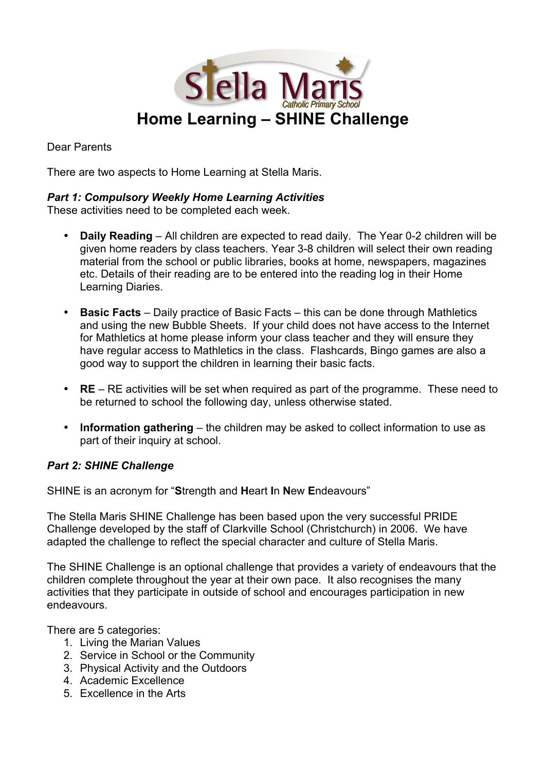

Dear Parents

There are two aspects to Home Learning at Stella Maris.

## *Part 1: Compulsory Weekly Home Learning Activities*

These activities need to be completed each week.

- **Daily Reading** All children are expected to read daily. The Year 0-2 children will be given home readers by class teachers. Year 3-8 children will select their own reading material from the school or public libraries, books at home, newspapers, magazines etc. Details of their reading are to be entered into the reading log in their Home Learning Diaries.
- **Basic Facts** Daily practice of Basic Facts this can be done through Mathletics and using the new Bubble Sheets. If your child does not have access to the Internet for Mathletics at home please inform your class teacher and they will ensure they have regular access to Mathletics in the class. Flashcards, Bingo games are also a good way to support the children in learning their basic facts.
- **RE** RE activities will be set when required as part of the programme. These need to be returned to school the following day, unless otherwise stated.
- **Information gathering** the children may be asked to collect information to use as part of their inquiry at school.

## *Part 2: SHINE Challenge*

SHINE is an acronym for "**S**trength and **H**eart **I**n **N**ew **E**ndeavours"

The Stella Maris SHINE Challenge has been based upon the very successful PRIDE Challenge developed by the staff of Clarkville School (Christchurch) in 2006. We have adapted the challenge to reflect the special character and culture of Stella Maris.

The SHINE Challenge is an optional challenge that provides a variety of endeavours that the children complete throughout the year at their own pace. It also recognises the many activities that they participate in outside of school and encourages participation in new endeavours.

There are 5 categories:

- 1. Living the Marian Values
- 2. Service in School or the Community
- 3. Physical Activity and the Outdoors
- 4. Academic Excellence
- 5. Excellence in the Arts